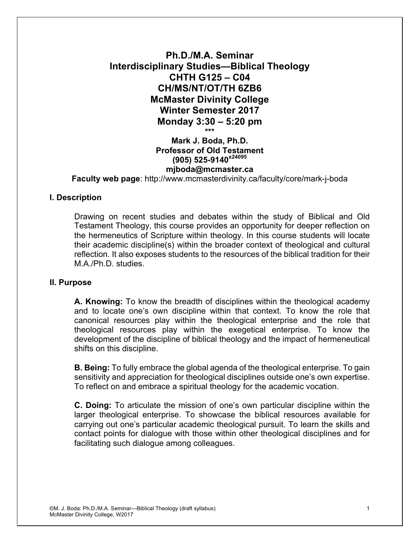# **Ph.D./M.A. Seminar Interdisciplinary Studies—Biblical Theology CHTH G125 – C04 CH/MS/NT/OT/TH 6ZB6 McMaster Divinity College Winter Semester 2017 Monday 3:30 – 5:20 pm \*\*\* Mark J. Boda, Ph.D. Professor of Old Testament (905) 525-9140x24095**

#### **mjboda@mcmaster.ca Faculty web page**: http://www.mcmasterdivinity.ca/faculty/core/mark-j-boda

# **I. Description**

Drawing on recent studies and debates within the study of Biblical and Old Testament Theology, this course provides an opportunity for deeper reflection on the hermeneutics of Scripture within theology. In this course students will locate their academic discipline(s) within the broader context of theological and cultural reflection. It also exposes students to the resources of the biblical tradition for their M.A./Ph.D. studies.

#### **II. Purpose**

**A. Knowing:** To know the breadth of disciplines within the theological academy and to locate one's own discipline within that context. To know the role that canonical resources play within the theological enterprise and the role that theological resources play within the exegetical enterprise. To know the development of the discipline of biblical theology and the impact of hermeneutical shifts on this discipline.

**B. Being:** To fully embrace the global agenda of the theological enterprise. To gain sensitivity and appreciation for theological disciplines outside one's own expertise. To reflect on and embrace a spiritual theology for the academic vocation.

**C. Doing:** To articulate the mission of one's own particular discipline within the larger theological enterprise. To showcase the biblical resources available for carrying out one's particular academic theological pursuit. To learn the skills and contact points for dialogue with those within other theological disciplines and for facilitating such dialogue among colleagues.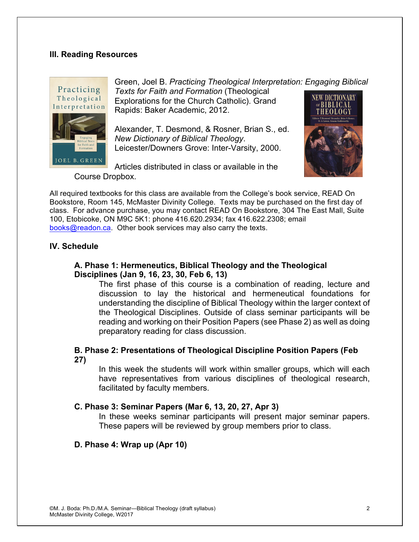## **III. Reading Resources**



Green, Joel B. *Practicing Theological Interpretation: Engaging Biblical Texts for Faith and Formation* (Theological NEW DICTIONARY Explorations for the Church Catholic). Grand Rapids: Baker Academic, 2012.

Alexander, T. Desmond, & Rosner, Brian S., ed. *New Dictionary of Biblical Theology*. Leicester/Downers Grove: Inter-Varsity, 2000.

Articles distributed in class or available in the Course Dropbox.

All required textbooks for this class are available from the College's book service, READ On Bookstore, Room 145, McMaster Divinity College. Texts may be purchased on the first day of class. For advance purchase, you may contact READ On Bookstore, 304 The East Mall, Suite 100, Etobicoke, ON M9C 5K1: phone 416.620.2934; fax 416.622.2308; email books@readon.ca. Other book services may also carry the texts.

## **IV. Schedule**

### **A. Phase 1: Hermeneutics, Biblical Theology and the Theological Disciplines (Jan 9, 16, 23, 30, Feb 6, 13)**

The first phase of this course is a combination of reading, lecture and discussion to lay the historical and hermeneutical foundations for understanding the discipline of Biblical Theology within the larger context of the Theological Disciplines. Outside of class seminar participants will be reading and working on their Position Papers (see Phase 2) as well as doing preparatory reading for class discussion.

## **B. Phase 2: Presentations of Theological Discipline Position Papers (Feb 27)**

In this week the students will work within smaller groups, which will each have representatives from various disciplines of theological research, facilitated by faculty members.

## **C. Phase 3: Seminar Papers (Mar 6, 13, 20, 27, Apr 3)**

In these weeks seminar participants will present major seminar papers. These papers will be reviewed by group members prior to class.

#### **D. Phase 4: Wrap up (Apr 10)**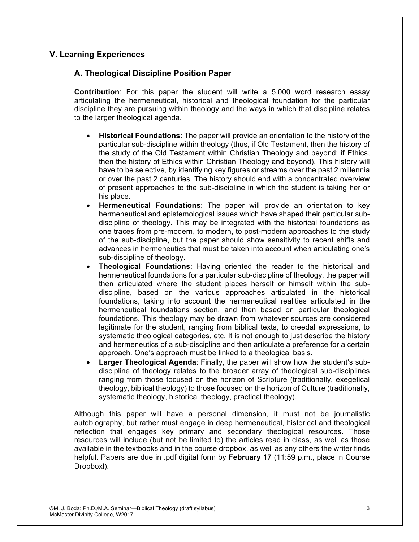# **V. Learning Experiences**

# **A. Theological Discipline Position Paper**

**Contribution**: For this paper the student will write a 5,000 word research essay articulating the hermeneutical, historical and theological foundation for the particular discipline they are pursuing within theology and the ways in which that discipline relates to the larger theological agenda.

- **Historical Foundations**: The paper will provide an orientation to the history of the particular sub-discipline within theology (thus, if Old Testament, then the history of the study of the Old Testament within Christian Theology and beyond; if Ethics, then the history of Ethics within Christian Theology and beyond). This history will have to be selective, by identifying key figures or streams over the past 2 millennia or over the past 2 centuries. The history should end with a concentrated overview of present approaches to the sub-discipline in which the student is taking her or his place.
- **Hermeneutical Foundations**: The paper will provide an orientation to key hermeneutical and epistemological issues which have shaped their particular subdiscipline of theology. This may be integrated with the historical foundations as one traces from pre-modern, to modern, to post-modern approaches to the study of the sub-discipline, but the paper should show sensitivity to recent shifts and advances in hermeneutics that must be taken into account when articulating one's sub-discipline of theology.
- **Theological Foundations**: Having oriented the reader to the historical and hermeneutical foundations for a particular sub-discipline of theology, the paper will then articulated where the student places herself or himself within the subdiscipline, based on the various approaches articulated in the historical foundations, taking into account the hermeneutical realities articulated in the hermeneutical foundations section, and then based on particular theological foundations. This theology may be drawn from whatever sources are considered legitimate for the student, ranging from biblical texts, to creedal expressions, to systematic theological categories, etc. It is not enough to just describe the history and hermeneutics of a sub-discipline and then articulate a preference for a certain approach. One's approach must be linked to a theological basis.
- **Larger Theological Agenda**: Finally, the paper will show how the student's subdiscipline of theology relates to the broader array of theological sub-disciplines ranging from those focused on the horizon of Scripture (traditionally, exegetical theology, biblical theology) to those focused on the horizon of Culture (traditionally, systematic theology, historical theology, practical theology).

Although this paper will have a personal dimension, it must not be journalistic autobiography, but rather must engage in deep hermeneutical, historical and theological reflection that engages key primary and secondary theological resources. Those resources will include (but not be limited to) the articles read in class, as well as those available in the textbooks and in the course dropbox, as well as any others the writer finds helpful. Papers are due in .pdf digital form by **February 17** (11:59 p.m., place in Course Dropboxl).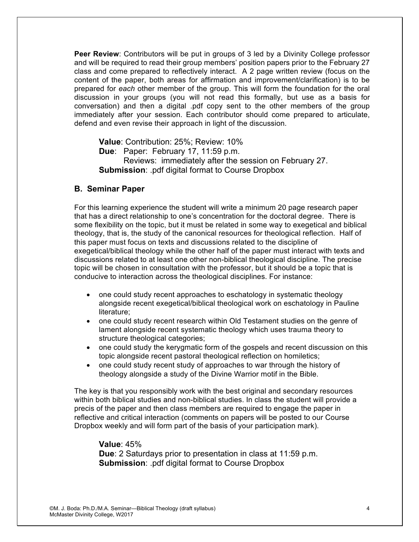**Peer Review**: Contributors will be put in groups of 3 led by a Divinity College professor and will be required to read their group members' position papers prior to the February 27 class and come prepared to reflectively interact. A 2 page written review (focus on the content of the paper, both areas for affirmation and improvement/clarification) is to be prepared for *each* other member of the group. This will form the foundation for the oral discussion in your groups (you will not read this formally, but use as a basis for conversation) and then a digital .pdf copy sent to the other members of the group immediately after your session. Each contributor should come prepared to articulate, defend and even revise their approach in light of the discussion.

**Value**: Contribution: 25%; Review: 10% **Due**: Paper: February 17, 11:59 p.m. Reviews: immediately after the session on February 27. **Submission**: .pdf digital format to Course Dropbox

#### **B. Seminar Paper**

For this learning experience the student will write a minimum 20 page research paper that has a direct relationship to one's concentration for the doctoral degree. There is some flexibility on the topic, but it must be related in some way to exegetical and biblical theology, that is, the study of the canonical resources for theological reflection. Half of this paper must focus on texts and discussions related to the discipline of exegetical/biblical theology while the other half of the paper must interact with texts and discussions related to at least one other non-biblical theological discipline. The precise topic will be chosen in consultation with the professor, but it should be a topic that is conducive to interaction across the theological disciplines. For instance:

- one could study recent approaches to eschatology in systematic theology alongside recent exegetical/biblical theological work on eschatology in Pauline literature;
- one could study recent research within Old Testament studies on the genre of lament alongside recent systematic theology which uses trauma theory to structure theological categories;
- one could study the kerygmatic form of the gospels and recent discussion on this topic alongside recent pastoral theological reflection on homiletics;
- one could study recent study of approaches to war through the history of theology alongside a study of the Divine Warrior motif in the Bible.

The key is that you responsibly work with the best original and secondary resources within both biblical studies and non-biblical studies. In class the student will provide a precis of the paper and then class members are required to engage the paper in reflective and critical interaction (comments on papers will be posted to our Course Dropbox weekly and will form part of the basis of your participation mark).

**Value**: 45% **Due**: 2 Saturdays prior to presentation in class at 11:59 p.m. **Submission**: .pdf digital format to Course Dropbox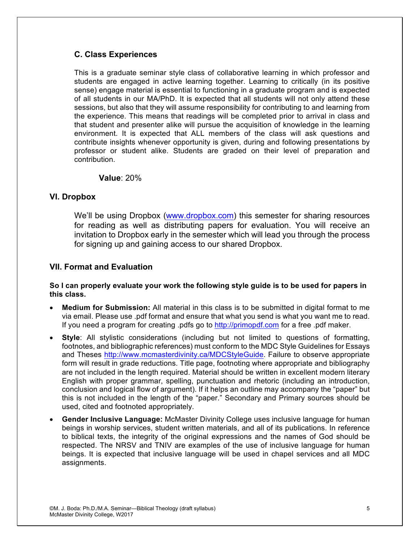# **C. Class Experiences**

This is a graduate seminar style class of collaborative learning in which professor and students are engaged in active learning together. Learning to critically (in its positive sense) engage material is essential to functioning in a graduate program and is expected of all students in our MA/PhD. It is expected that all students will not only attend these sessions, but also that they will assume responsibility for contributing to and learning from the experience. This means that readings will be completed prior to arrival in class and that student and presenter alike will pursue the acquisition of knowledge in the learning environment. It is expected that ALL members of the class will ask questions and contribute insights whenever opportunity is given, during and following presentations by professor or student alike. Students are graded on their level of preparation and contribution.

## **Value**: 20%

## **VI. Dropbox**

We'll be using Dropbox (www.dropbox.com) this semester for sharing resources for reading as well as distributing papers for evaluation. You will receive an invitation to Dropbox early in the semester which will lead you through the process for signing up and gaining access to our shared Dropbox.

## **VII. Format and Evaluation**

#### **So I can properly evaluate your work the following style guide is to be used for papers in this class.**

- **Medium for Submission:** All material in this class is to be submitted in digital format to me via email. Please use .pdf format and ensure that what you send is what you want me to read. If you need a program for creating .pdfs go to http://primopdf.com for a free .pdf maker.
- **Style**: All stylistic considerations (including but not limited to questions of formatting, footnotes, and bibliographic references) must conform to the MDC Style Guidelines for Essays and Theses http://www.mcmasterdivinity.ca/MDCStyleGuide. Failure to observe appropriate form will result in grade reductions. Title page, footnoting where appropriate and bibliography are not included in the length required. Material should be written in excellent modern literary English with proper grammar, spelling, punctuation and rhetoric (including an introduction, conclusion and logical flow of argument). If it helps an outline may accompany the "paper" but this is not included in the length of the "paper." Secondary and Primary sources should be used, cited and footnoted appropriately.
- **Gender Inclusive Language:** McMaster Divinity College uses inclusive language for human beings in worship services, student written materials, and all of its publications. In reference to biblical texts, the integrity of the original expressions and the names of God should be respected. The NRSV and TNIV are examples of the use of inclusive language for human beings. It is expected that inclusive language will be used in chapel services and all MDC assignments.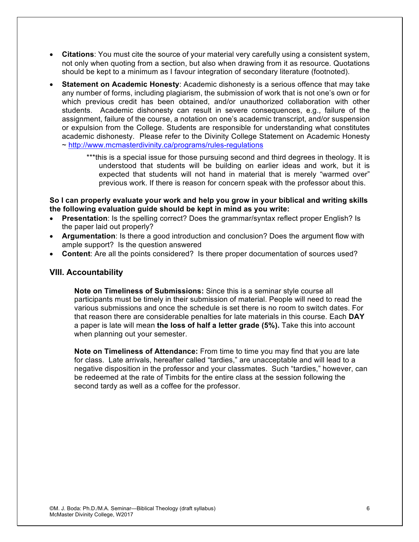- **Citations**: You must cite the source of your material very carefully using a consistent system, not only when quoting from a section, but also when drawing from it as resource. Quotations should be kept to a minimum as I favour integration of secondary literature (footnoted).
- **Statement on Academic Honesty**: Academic dishonesty is a serious offence that may take any number of forms, including plagiarism, the submission of work that is not one's own or for which previous credit has been obtained, and/or unauthorized collaboration with other students. Academic dishonesty can result in severe consequences, e.g., failure of the assignment, failure of the course, a notation on one's academic transcript, and/or suspension or expulsion from the College. Students are responsible for understanding what constitutes academic dishonesty. Please refer to the Divinity College Statement on Academic Honesty ~ http://www.mcmasterdivinity.ca/programs/rules-regulations
	- \*\*\*this is a special issue for those pursuing second and third degrees in theology. It is understood that students will be building on earlier ideas and work, but it is expected that students will not hand in material that is merely "warmed over" previous work. If there is reason for concern speak with the professor about this.

#### **So I can properly evaluate your work and help you grow in your biblical and writing skills the following evaluation guide should be kept in mind as you write:**

- **Presentation**: Is the spelling correct? Does the grammar/syntax reflect proper English? Is the paper laid out properly?
- **Argumentation**: Is there a good introduction and conclusion? Does the argument flow with ample support? Is the question answered
- **Content**: Are all the points considered? Is there proper documentation of sources used?

## **VIII. Accountability**

**Note on Timeliness of Submissions:** Since this is a seminar style course all participants must be timely in their submission of material. People will need to read the various submissions and once the schedule is set there is no room to switch dates. For that reason there are considerable penalties for late materials in this course. Each **DAY** a paper is late will mean **the loss of half a letter grade (5%).** Take this into account when planning out your semester.

**Note on Timeliness of Attendance:** From time to time you may find that you are late for class. Late arrivals, hereafter called "tardies," are unacceptable and will lead to a negative disposition in the professor and your classmates. Such "tardies," however, can be redeemed at the rate of Timbits for the entire class at the session following the second tardy as well as a coffee for the professor.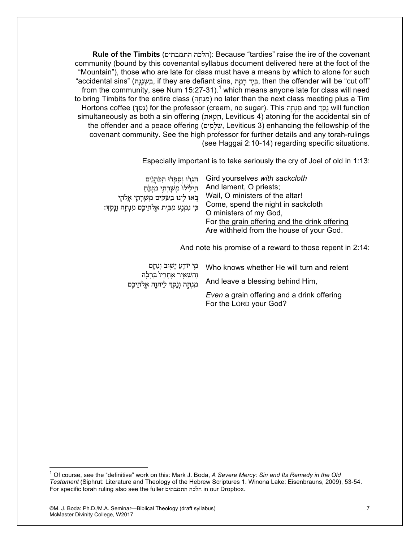**Rule of the Timbits** (התמבתים הלכה(: Because "tardies" raise the ire of the covenant community (bound by this covenantal syllabus document delivered here at the foot of the "Mountain"), those who are late for class must have a means by which to atone for such "accidental sins" (ה ָגָג ְשׁ ִב, if they are defiant sins, ה ָמ ָר דָי ְבּ, then the offender will be "cut off" from the community, see Num  $15:27-31$ .<sup>1</sup> which means anyone late for class will need to bring Timbits for the entire class (מָנְחָה) no later than the next class meeting plus a Tim Hortons coffee (נסף) for the professor (cream, no sugar). This הנחה and נסף will function simultaneously as both a sin offering (תַּטָאת, Leviticus 4) atoning for the accidental sin of the offender and a peace offering (שׁלָמִים, Leviticus 3) enhancing the fellowship of the covenant community. See the high professor for further details and any torah-rulings (see Haggai 2:10-14) regarding specific situations.

Especially important is to take seriously the cry of Joel of old in 1:13:

| חגרו וספדו הכהנים                                 | Gird yourselves with sackcloth                |
|---------------------------------------------------|-----------------------------------------------|
| הילילו משרתי מזבח                                 | And lament, O priests;                        |
| בָּאוּ לִינוּ בַשַּׂקִים מִשָּׁרָתֵי אֱלֹתָי      | Wail, O ministers of the altar!               |
| כִּי נִמְנָע מִבִּית אֵלֹהֵיכִם מִנְחָה וָנָסֵךְ: | Come, spend the night in sackcloth            |
|                                                   | O ministers of my God,                        |
|                                                   | For the grain offering and the drink offering |
|                                                   | Are withheld from the house of your God.      |
|                                                   |                                               |

And note his promise of a reward to those repent in 2:14:

| מִי יוֹדֵעַ יַשְׁוּב וְנִחָם                                           | Who knows whether He will turn and relent                            |
|------------------------------------------------------------------------|----------------------------------------------------------------------|
| וְהִשְׁאָיר אַחֲרָיו בִּרְכְׂה<br>מִנְחָה וָנֵקַדְּ לַיהוֶה אֱלֹהֵיכֶם | And leave a blessing behind Him,                                     |
|                                                                        | Even a grain offering and a drink offering<br>For the LORD your God? |

<sup>1</sup> Of course, see the "definitive" work on this: Mark J. Boda, *A Severe Mercy: Sin and Its Remedy in the Old Testament* (Siphrut: Literature and Theology of the Hebrew Scriptures 1. Winona Lake: Eisenbrauns, 2009), 53-54. For specific torah ruling also see the fuller התמבתים הלכה in our Dropbox.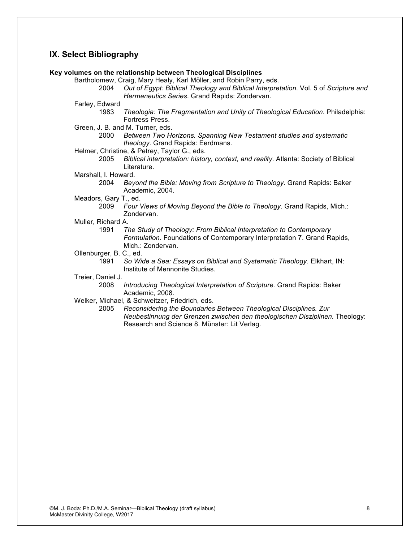#### **IX. Select Bibliography**

#### **Key volumes on the relationship between Theological Disciplines**

Bartholomew, Craig, Mary Healy, Karl Möller, and Robin Parry, eds.

- 2004 *Out of Egypt: Biblical Theology and Biblical Interpretation*. Vol. 5 of *Scripture and Hermeneutics Series*. Grand Rapids: Zondervan.
- Farley, Edward
	- 1983 *Theologia: The Fragmentation and Unity of Theological Education*. Philadelphia: Fortress Press.
- Green, J. B. and M. Turner, eds.
	- 2000 *Between Two Horizons. Spanning New Testament studies and systematic theology*. Grand Rapids: Eerdmans.
- Helmer, Christine, & Petrey, Taylor G., eds.
	- 2005 *Biblical interpretation: history, context, and reality*. Atlanta: Society of Biblical Literature.

#### Marshall, I. Howard.

- 2004 *Beyond the Bible: Moving from Scripture to Theology*. Grand Rapids: Baker Academic, 2004.
- Meadors, Gary T., ed.
	- 2009 *Four Views of Moving Beyond the Bible to Theology*. Grand Rapids, Mich.: Zondervan.
- Muller, Richard A.
	- 1991 *The Study of Theology: From Biblical Interpretation to Contemporary Formulation*. Foundations of Contemporary Interpretation 7. Grand Rapids, Mich.: Zondervan.
- Ollenburger, B. C., ed.
	- 1991 *So Wide a Sea: Essays on Biblical and Systematic Theology*. Elkhart, IN: Institute of Mennonite Studies.
- Treier, Daniel J.
	- 2008 *Introducing Theological Interpretation of Scripture.* Grand Rapids: Baker Academic, 2008.
- Welker, Michael, & Schweitzer, Friedrich, eds.
	- 2005 *Reconsidering the Boundaries Between Theological Disciplines. Zur Neubestinnung der Grenzen zwischen den theologischen Disziplinen.* Theology: Research and Science 8. Münster: Lit Verlag.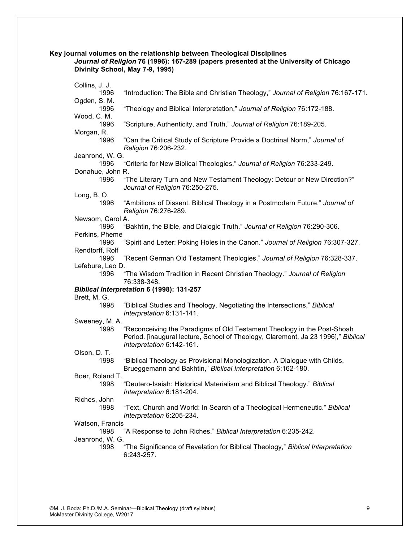**Key journal volumes on the relationship between Theological Disciplines**

*Journal of Religion* **76 (1996): 167-289 (papers presented at the University of Chicago Divinity School, May 7-9, 1995)**

| Collins, J. J.                                                                  |                                                                                                      |  |  |  |  |
|---------------------------------------------------------------------------------|------------------------------------------------------------------------------------------------------|--|--|--|--|
| 1996                                                                            | "Introduction: The Bible and Christian Theology," Journal of Religion 76:167-171.                    |  |  |  |  |
| Ogden, S. M.                                                                    |                                                                                                      |  |  |  |  |
| 1996<br>"Theology and Biblical Interpretation," Journal of Religion 76:172-188. |                                                                                                      |  |  |  |  |
| Wood, C. M.<br>1996                                                             | "Scripture, Authenticity, and Truth," Journal of Religion 76:189-205.                                |  |  |  |  |
| Morgan, R.                                                                      |                                                                                                      |  |  |  |  |
| 1996                                                                            | "Can the Critical Study of Scripture Provide a Doctrinal Norm," Journal of                           |  |  |  |  |
|                                                                                 | Religion 76:206-232.                                                                                 |  |  |  |  |
| Jeanrond, W. G.<br>1996                                                         | "Criteria for New Biblical Theologies," Journal of Religion 76:233-249.                              |  |  |  |  |
| Donahue, John R.                                                                |                                                                                                      |  |  |  |  |
| 1996                                                                            | "The Literary Turn and New Testament Theology: Detour or New Direction?"                             |  |  |  |  |
|                                                                                 | Journal of Religion 76:250-275.                                                                      |  |  |  |  |
| Long, B.O.                                                                      |                                                                                                      |  |  |  |  |
| 1996                                                                            | "Ambitions of Dissent. Biblical Theology in a Postmodern Future," Journal of<br>Religion 76:276-289. |  |  |  |  |
| Newsom, Carol A.                                                                |                                                                                                      |  |  |  |  |
| 1996                                                                            | "Bakhtin, the Bible, and Dialogic Truth." Journal of Religion 76:290-306.                            |  |  |  |  |
| Perkins, Pheme                                                                  |                                                                                                      |  |  |  |  |
| 1996                                                                            | "Spirit and Letter: Poking Holes in the Canon." Journal of Religion 76:307-327.                      |  |  |  |  |
| Rendtorff, Rolf                                                                 |                                                                                                      |  |  |  |  |
| 1996<br>Lefebure, Leo D.                                                        | "Recent German Old Testament Theologies." Journal of Religion 76:328-337.                            |  |  |  |  |
| 1996                                                                            | "The Wisdom Tradition in Recent Christian Theology." Journal of Religion                             |  |  |  |  |
|                                                                                 | 76:338-348.                                                                                          |  |  |  |  |
|                                                                                 | Biblical Interpretation 6 (1998): 131-257                                                            |  |  |  |  |
| Brett, M. G.                                                                    |                                                                                                      |  |  |  |  |
| 1998                                                                            | "Biblical Studies and Theology. Negotiating the Intersections," Biblical                             |  |  |  |  |
|                                                                                 | Interpretation 6:131-141.                                                                            |  |  |  |  |
| Sweeney, M. A.                                                                  |                                                                                                      |  |  |  |  |
| 1998                                                                            | "Reconceiving the Paradigms of Old Testament Theology in the Post-Shoah                              |  |  |  |  |
|                                                                                 | Period. [inaugural lecture, School of Theology, Claremont, Ja 23 1996]," Biblical                    |  |  |  |  |
| Olson, D. T.                                                                    | Interpretation 6:142-161.                                                                            |  |  |  |  |
| 1998                                                                            | "Biblical Theology as Provisional Monologization. A Dialogue with Childs,                            |  |  |  |  |
|                                                                                 | Brueggemann and Bakhtin," Biblical Interpretation 6:162-180.                                         |  |  |  |  |
| Boer, Roland T.                                                                 |                                                                                                      |  |  |  |  |
| 1998                                                                            | "Deutero-Isaiah: Historical Materialism and Biblical Theology." Biblical                             |  |  |  |  |
|                                                                                 | Interpretation 6:181-204.                                                                            |  |  |  |  |
| Riches, John                                                                    |                                                                                                      |  |  |  |  |
| 1998                                                                            | "Text, Church and World: In Search of a Theological Hermeneutic." Biblical                           |  |  |  |  |
| Interpretation 6:205-234.<br>Watson, Francis                                    |                                                                                                      |  |  |  |  |
| 1998<br>"A Response to John Riches." Biblical Interpretation 6:235-242.         |                                                                                                      |  |  |  |  |
| Jeanrond, W. G.                                                                 |                                                                                                      |  |  |  |  |
| 1998                                                                            | "The Significance of Revelation for Biblical Theology," Biblical Interpretation                      |  |  |  |  |
|                                                                                 | 6:243-257.                                                                                           |  |  |  |  |
|                                                                                 |                                                                                                      |  |  |  |  |
|                                                                                 |                                                                                                      |  |  |  |  |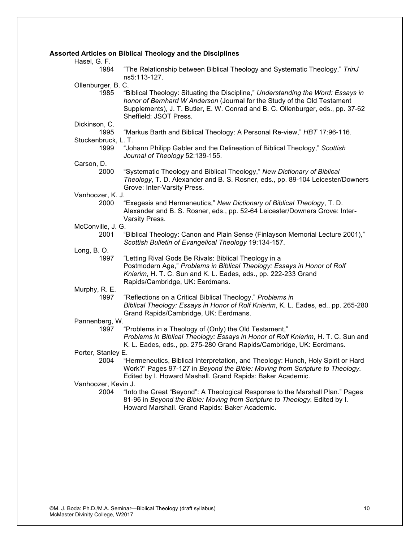#### **Assorted Articles on Biblical Theology and the Disciplines**

Hasel, G. F.

1984 "The Relationship between Biblical Theology and Systematic Theology," *TrinJ* ns5:113-127.

Ollenburger, B. C.

1985 "Biblical Theology: Situating the Discipline," *Understanding the Word: Essays in honor of Bernhard W Anderson* (Journal for the Study of the Old Testament Supplements), J. T. Butler, E. W. Conrad and B. C. Ollenburger, eds., pp. 37-62 Sheffield: JSOT Press.

Dickinson, C.

1995 "Markus Barth and Biblical Theology: A Personal Re-view," *HBT* 17:96-116.

#### Stuckenbruck, L. T.

1999 "Johann Philipp Gabler and the Delineation of Biblical Theology," *Scottish Journal of Theology* 52:139-155.

Carson, D.

2000 "Systematic Theology and Biblical Theology," *New Dictionary of Biblical Theology*, T. D. Alexander and B. S. Rosner, eds., pp. 89-104 Leicester/Downers Grove: Inter-Varsity Press.

#### Vanhoozer, K. J.

2000 "Exegesis and Hermeneutics," *New Dictionary of Biblical Theology*, T. D. Alexander and B. S. Rosner, eds., pp. 52-64 Leicester/Downers Grove: Inter-Varsity Press.

- McConville, J. G.
	- 2001 "Biblical Theology: Canon and Plain Sense (Finlayson Memorial Lecture 2001)," *Scottish Bulletin of Evangelical Theology* 19:134-157.
- Long, B. O.
	- 1997 "Letting Rival Gods Be Rivals: Biblical Theology in a Postmodern Age," *Problems in Biblical Theology: Essays in Honor of Rolf Knierim*, H. T. C. Sun and K. L. Eades, eds., pp. 222-233 Grand Rapids/Cambridge, UK: Eerdmans.

Murphy, R. E.

1997 "Reflections on a Critical Biblical Theology," *Problems in Biblical Theology: Essays in Honor of Rolf Knierim*, K. L. Eades, ed., pp. 265-280 Grand Rapids/Cambridge, UK: Eerdmans.

#### Pannenberg, W.

- 1997 "Problems in a Theology of (Only) the Old Testament," *Problems in Biblical Theology: Essays in Honor of Rolf Knierim*, H. T. C. Sun and K. L. Eades, eds., pp. 275-280 Grand Rapids/Cambridge, UK: Eerdmans.
- Porter, Stanley E.
	- 2004 "Hermeneutics, Biblical Interpretation, and Theology: Hunch, Holy Spirit or Hard Work?" Pages 97-127 in *Beyond the Bible: Moving from Scripture to Theology.* Edited by I. Howard Mashall. Grand Rapids: Baker Academic.

Vanhoozer, Kevin J.

2004 "Into the Great "Beyond": A Theological Response to the Marshall Plan." Pages 81-96 in *Beyond the Bible: Moving from Scripture to Theology.* Edited by I. Howard Marshall. Grand Rapids: Baker Academic.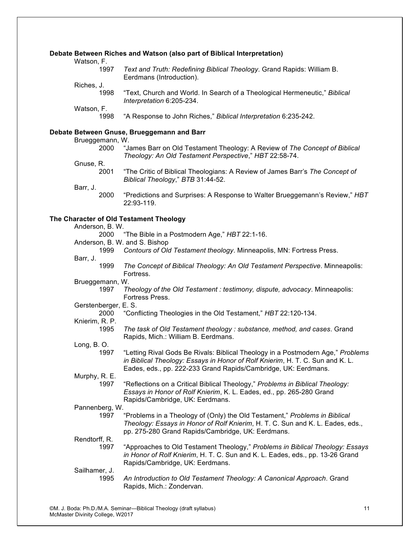#### **Debate Between Riches and Watson (also part of Biblical Interpretation)**

Watson, F.

| 1997 | Text and Truth: Redefining Biblical Theology. Grand Rapids: William B. |  |
|------|------------------------------------------------------------------------|--|
|      | Eerdmans (Introduction).                                               |  |

- Riches, J.
	- 1998 "Text, Church and World. In Search of a Theological Hermeneutic," *Biblical Interpretation* 6:205-234.

Watson, F.

1998 "A Response to John Riches," *Biblical Interpretation* 6:235-242.

#### **Debate Between Gnuse, Brueggemann and Barr**

|                               | Debate Between Gnuse, Brueggemann and Barr                                                                                                                                                                                         |
|-------------------------------|------------------------------------------------------------------------------------------------------------------------------------------------------------------------------------------------------------------------------------|
| Brueggemann, W.<br>2000       | "James Barr on Old Testament Theology: A Review of The Concept of Biblical<br>Theology: An Old Testament Perspective," HBT 22:58-74.                                                                                               |
| Gnuse, R.<br>2001             | "The Critic of Biblical Theologians: A Review of James Barr's The Concept of<br>Biblical Theology," BTB 31:44-52.                                                                                                                  |
| Barr, J.<br>2000              | "Predictions and Surprises: A Response to Walter Brueggemann's Review," HBT<br>22:93-119.                                                                                                                                          |
|                               | The Character of Old Testament Theology                                                                                                                                                                                            |
| Anderson, B. W.               |                                                                                                                                                                                                                                    |
| 2000                          | "The Bible in a Postmodern Age," HBT 22:1-16.                                                                                                                                                                                      |
| Anderson, B. W. and S. Bishop |                                                                                                                                                                                                                                    |
| 1999                          | Contours of Old Testament theology. Minneapolis, MN: Fortress Press.                                                                                                                                                               |
| Barr, J.                      |                                                                                                                                                                                                                                    |
| 1999                          | The Concept of Biblical Theology: An Old Testament Perspective. Minneapolis:<br>Fortress.                                                                                                                                          |
| Brueggemann, W.               |                                                                                                                                                                                                                                    |
| 1997                          | Theology of the Old Testament : testimony, dispute, advocacy. Minneapolis:<br>Fortress Press.                                                                                                                                      |
| Gerstenberger, E. S.          |                                                                                                                                                                                                                                    |
| 2000<br>Knierim, R. P.        | "Conflicting Theologies in the Old Testament," HBT 22:120-134.                                                                                                                                                                     |
| 1995                          | The task of Old Testament theology : substance, method, and cases. Grand<br>Rapids, Mich.: William B. Eerdmans.                                                                                                                    |
| Long, B.O.                    |                                                                                                                                                                                                                                    |
| 1997                          | "Letting Rival Gods Be Rivals: Biblical Theology in a Postmodern Age," Problems<br>in Biblical Theology: Essays in Honor of Rolf Knierim, H. T. C. Sun and K. L.<br>Eades, eds., pp. 222-233 Grand Rapids/Cambridge, UK: Eerdmans. |
| Murphy, R. E.                 |                                                                                                                                                                                                                                    |
| 1997                          | "Reflections on a Critical Biblical Theology," Problems in Biblical Theology:<br>Essays in Honor of Rolf Knierim, K. L. Eades, ed., pp. 265-280 Grand<br>Rapids/Cambridge, UK: Eerdmans.                                           |
| Pannenberg, W.                |                                                                                                                                                                                                                                    |
| 1997                          | "Problems in a Theology of (Only) the Old Testament," Problems in Biblical<br>Theology: Essays in Honor of Rolf Knierim, H. T. C. Sun and K. L. Eades, eds.,<br>pp. 275-280 Grand Rapids/Cambridge, UK: Eerdmans.                  |
| Rendtorff, R.                 |                                                                                                                                                                                                                                    |
| 1997                          | "Approaches to Old Testament Theology," Problems in Biblical Theology: Essays<br>in Honor of Rolf Knierim, H. T. C. Sun and K. L. Eades, eds., pp. 13-26 Grand<br>Rapids/Cambridge, UK: Eerdmans.                                  |
| Sailhamer, J.                 |                                                                                                                                                                                                                                    |
| 1995                          | An Introduction to Old Testament Theology: A Canonical Approach. Grand<br>Rapids, Mich.: Zondervan.                                                                                                                                |